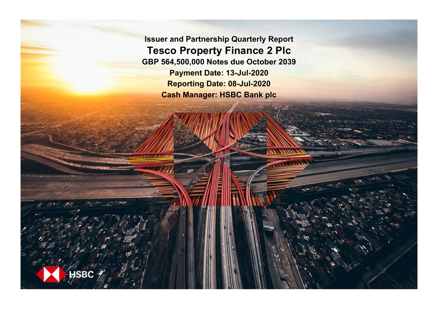**Issuer and Partnership Quarterly Report Tesco Property Finance 2 Plc GBP 564,500,000 Notes due October 2039 Payment Date: 13-Jul-2020 Reporting Date: 08-Jul-2020 Cash Manager: HSBC Bank plc**

**ISBC**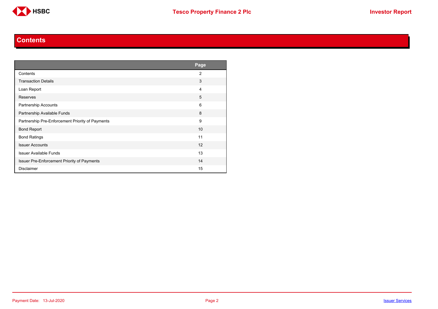

#### **Contents**

<span id="page-1-0"></span>

|                                                    | Page           |
|----------------------------------------------------|----------------|
| Contents                                           | $\overline{2}$ |
| <b>Transaction Details</b>                         | 3              |
| Loan Report                                        | 4              |
| <b>Reserves</b>                                    | 5              |
| Partnership Accounts                               | 6              |
| Partnership Available Funds                        | 8              |
| Partnership Pre-Enforcement Priority of Payments   | 9              |
| <b>Bond Report</b>                                 | 10             |
| <b>Bond Ratings</b>                                | 11             |
| <b>Issuer Accounts</b>                             | 12             |
| <b>Issuer Available Funds</b>                      | 13             |
| <b>Issuer Pre-Enforcement Priority of Payments</b> | 14             |
| <b>Disclaimer</b>                                  | 15             |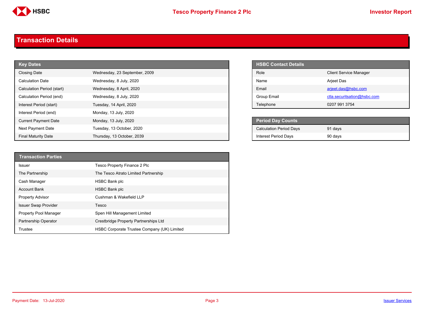

#### <span id="page-2-0"></span>**Transaction Details**

| <b>Key Dates</b>            |                               | <b>HSBC Contact Details</b>    |
|-----------------------------|-------------------------------|--------------------------------|
| <b>Closing Date</b>         | Wednesday, 23 September, 2009 | Role                           |
| <b>Calculation Date</b>     | Wednesday, 8 July, 2020       | Name                           |
| Calculation Period (start)  | Wednesday, 8 April, 2020      | Email                          |
| Calculation Period (end)    | Wednesday, 8 July, 2020       | <b>Group Email</b>             |
| Interest Period (start)     | Tuesday, 14 April, 2020       | Telephone                      |
| Interest Period (end)       | Monday, 13 July, 2020         |                                |
| <b>Current Payment Date</b> | Monday, 13 July, 2020         | <b>Period Day Counts</b>       |
| Next Payment Date           | Tuesday, 13 October, 2020     | <b>Calculation Period Days</b> |
| <b>Final Maturity Date</b>  | Thursday, 13 October, 2039    | <b>Interest Period Days</b>    |

| <b>HSBC Contact Details</b> |                               |
|-----------------------------|-------------------------------|
| Role                        | <b>Client Service Manager</b> |
| <b>Name</b>                 | Arjeet Das                    |
| <b>Fmail</b>                | arjeet.das@hsbc.com           |
| Group Email                 | ctla.securitsation@hsbc.com   |
| Telephone                   | 0207 991 3754                 |

| <b>Period Day Counts</b>       |         |  |
|--------------------------------|---------|--|
| <b>Calculation Period Days</b> | 91 days |  |
| <b>Interest Period Days</b>    | 90 days |  |

| <b>Transaction Parties</b>  |                                             |
|-----------------------------|---------------------------------------------|
| Issuer                      | Tesco Property Finance 2 Plc                |
| The Partnership             | The Tesco Atrato Limited Partnership        |
| Cash Manager                | <b>HSBC Bank plc</b>                        |
| <b>Account Bank</b>         | <b>HSBC Bank plc</b>                        |
| <b>Property Advisor</b>     | Cushman & Wakefield LLP                     |
| <b>Issuer Swap Provider</b> | Tesco                                       |
| Property Pool Manager       | Spen Hill Management Limited                |
| <b>Partnership Operator</b> | Crestbridge Property Partnerships Ltd       |
| Trustee                     | HSBC Corporate Trustee Company (UK) Limited |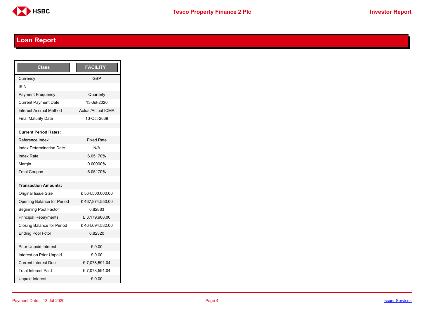

# <span id="page-3-0"></span>**Loan Report**

| <b>Class</b>                      | <b>FACILITY</b>           |
|-----------------------------------|---------------------------|
| Currency                          | GBP                       |
| ISIN                              |                           |
| <b>Payment Frequency</b>          | Quarterly                 |
| <b>Current Payment Date</b>       | 13-Jul-2020               |
| <b>Interest Accrual Method</b>    | <b>Actual/Actual ICMA</b> |
| <b>Final Maturity Date</b>        | 13-Oct-2039               |
|                                   |                           |
| <b>Current Period Rates:</b>      |                           |
| Reference Index                   | <b>Fixed Rate</b>         |
| <b>Index Determination Date</b>   | N/A                       |
| <b>Index Rate</b>                 | 6.05170%                  |
| Margin                            | 0.00000%                  |
| <b>Total Coupon</b>               | 6.05170%                  |
|                                   |                           |
| <b>Transaction Amounts:</b>       |                           |
| <b>Original Issue Size</b>        | £564,500,000.00           |
| Opening Balance for Period        | £467,874,550.00           |
| <b>Beginning Pool Factor</b>      | 0.82883                   |
| <b>Principal Repayments</b>       | £3,179,968.00             |
| <b>Closing Balance for Period</b> | £464,694,582.00           |
| <b>Ending Pool Fctor</b>          | 0.82320                   |
|                                   |                           |
| <b>Prior Unpaid Interest</b>      | £0.00                     |
| Interest on Prior Unpaid          | £ 0.00                    |
| <b>Current Interest Due</b>       | £7,078,591.04             |
| <b>Total Interest Paid</b>        | £7,078,591.04             |
| <b>Unpaid Interest</b>            | £0.00                     |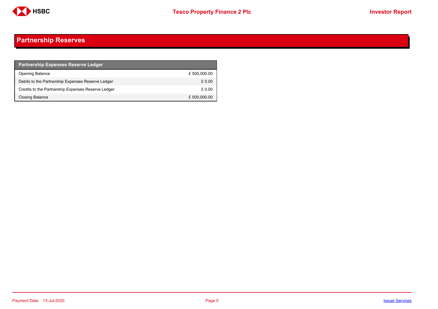

## <span id="page-4-0"></span>**Partnership Reserves**

| <b>Partnership Expenses Reserve Ledger</b>         |              |
|----------------------------------------------------|--------------|
| Opening Balance                                    | £500,000.00  |
| Debits to the Partnership Expenses Reserve Ledger  | £0.00        |
| Credits to the Partnership Expenses Reserve Ledger | £ 0.00       |
| Closing Balance                                    | £ 500,000.00 |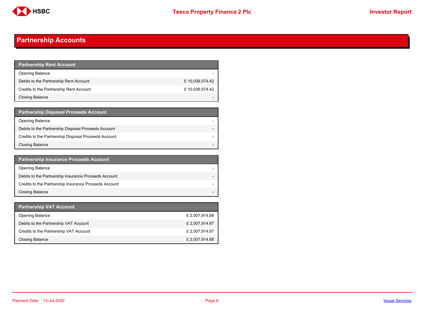

## <span id="page-5-0"></span>**Partnership Accounts**

| Partnership Rent Account <b>P</b>       |                |
|-----------------------------------------|----------------|
| <b>Opening Balance</b>                  |                |
| Debits to the Partnership Rent Account  | £10,039,574.42 |
| Credits to the Partnership Rent Account | £10,039,574.42 |
| Closing Balance                         |                |

| <b>Partnership Disposal Proceeds Account</b>         |  |
|------------------------------------------------------|--|
| <b>Opening Balance</b>                               |  |
| Debits to the Partnership Disposal Proceeds Account  |  |
| Credits to the Partnership Disposal Proceeds Account |  |
| Closing Balance                                      |  |

| <b>Partnership Insurance Proceeds Account</b>         |  |
|-------------------------------------------------------|--|
| <b>Opening Balance</b>                                |  |
| Debits to the Partnership Insurance Proceeds Account  |  |
| Credits to the Partnership Insurance Proceeds Account |  |
| <b>Closing Balance</b>                                |  |

| <b>Partnership VAT Account</b>         |                |
|----------------------------------------|----------------|
| <b>Opening Balance</b>                 | £ 2,007,914.88 |
| Debits to the Partnership VAT Account  | £ 2,007,914.87 |
| Credits to the Partnership VAT Account | £ 2,007,914.87 |
| Closing Balance                        | £ 2,007,914.88 |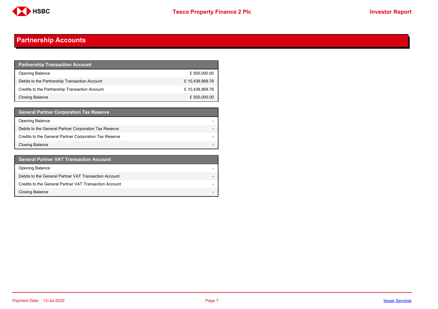

## **Partnership Accounts**

| <b>Partnership Transaction Account</b>         |                |
|------------------------------------------------|----------------|
| <b>Opening Balance</b>                         | £ 500,000.00   |
| Debits to the Partnership Transaction Account  | £10,438,968.76 |
| Credits to the Partnership Transaction Account | £10,438,968.76 |
| Closing Balance                                | £ 500,000.00   |

| <b>General Partner Corporation Tax Reserve</b>         |  |
|--------------------------------------------------------|--|
| <b>Opening Balance</b>                                 |  |
| Debits to the General Partner Corporation Tax Reserve  |  |
| Credits to the General Partner Corporation Tax Reserve |  |
| <b>Closing Balance</b>                                 |  |

| <b>General Partner VAT Transaction Account</b>         |                          |
|--------------------------------------------------------|--------------------------|
| <b>Opening Balance</b>                                 |                          |
| Debits to the General Partner VAT Transaction Account  |                          |
| Credits to the General Partner VAT Transaction Account |                          |
| <b>Closing Balance</b>                                 | $\overline{\phantom{0}}$ |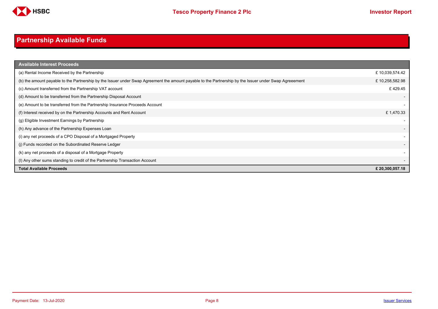

# <span id="page-7-0"></span>**Partnership Available Funds**

| <b>Available Interest Proceeds</b>                                                                                                                     |                 |
|--------------------------------------------------------------------------------------------------------------------------------------------------------|-----------------|
| (a) Rental Income Received by the Partnership                                                                                                          | £10,039,574.42  |
| (b) the amount payable to the Partnership by the Issuer under Swap Agreement the amount payable to the Partnership by the Issuer under Swap Agreeement | £10,258,582.98  |
| (c) Amount transferred from the Partnership VAT account                                                                                                | £429.45         |
| (d) Amount to be transferred from the Partnership Disposal Account                                                                                     |                 |
| (e) Amount to be transferred from the Partnership Insurance Proceeds Account                                                                           |                 |
| (f) Interest received by on the Partnership Accounts and Rent Account                                                                                  | £1,470.33       |
| (g) Eligible Investment Earnings by Partnership                                                                                                        |                 |
| (h) Any advance of the Partnership Expenses Loan                                                                                                       |                 |
| (i) any net proceeds of a CPO Disposal of a Mortgaged Property                                                                                         |                 |
| (i) Funds recorded on the Subordinated Reserve Ledger                                                                                                  |                 |
| (k) any net proceeds of a disposal of a Mortgage Property                                                                                              |                 |
| (I) Any other sums standing to credit of the Partnership Transaction Account                                                                           |                 |
| <b>Total Available Proceeds</b>                                                                                                                        | £ 20,300,057.18 |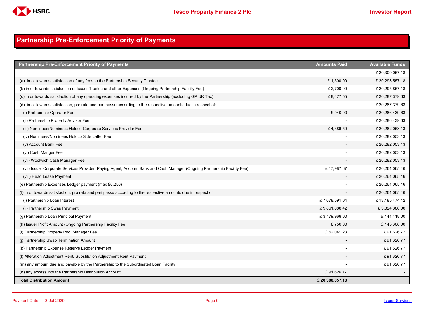

## <span id="page-8-0"></span>**Partnership Pre-Enforcement Priority of Payments**

| <b>Partnership Pre-Enforcement Priority of Payments</b>                                                                  | <b>Amounts Paid</b> | <b>Available Funds</b> |
|--------------------------------------------------------------------------------------------------------------------------|---------------------|------------------------|
|                                                                                                                          |                     | £ 20,300,057.18        |
| (a) in or towards satisfaction of any fees to the Partnership Security Trustee                                           | £1,500.00           | £ 20,298,557.18        |
| (b) in or towards satisfaction of Issuer Trustee and other Expenses (Ongoing Partnership Facility Fee)                   | £ 2,700.00          | £ 20,295,857.18        |
| (c) in or towards satisfaction of any operating expenses incurred by the Partnership (excluding GP UK Tax)               | £8,477.55           | £ 20,287,379.63        |
| (d) in or towards satisfaction, pro rata and pari passu according to the respective amounts due in respect of:           |                     | £20,287,379.63         |
| (i) Partnership Operator Fee                                                                                             | £940.00             | £20,286,439.63         |
| (ii) Partnership Property Advisor Fee                                                                                    |                     | £20,286,439.63         |
| (iii) Nominees/Nominees Holdco Corporate Services Provider Fee                                                           | £4,386.50           | £ 20,282,053.13        |
| (iv) Nominees/Nominees Holdco Side Letter Fee                                                                            |                     | £ 20,282,053.13        |
| (v) Account Bank Fee                                                                                                     |                     | £ 20,282,053.13        |
| (vi) Cash Manger Fee                                                                                                     |                     | £ 20,282,053.13        |
| (vii) Woolwich Cash Manager Fee                                                                                          |                     | £ 20,282,053.13        |
| (vii) Issuer Corporate Services Provider, Paying Agent, Account Bank and Cash Manager (Ongoing Partnership Facility Fee) | £17,987.67          | £ 20,264,065.46        |
| (viii) Head Lease Payment                                                                                                |                     | £ 20,264,065.46        |
| (e) Partnership Expenses Ledger payment (max £6,250)                                                                     |                     | £ 20,264,065.46        |
| (f) in or towards satisfaction, pro rata and pari passu according to the respective amounts due in respect of:           |                     | £ 20,264,065.46        |
| (i) Partnership Loan Interest                                                                                            | £7,078,591.04       | £13,185,474.42         |
| (ii) Partnership Swap Payment                                                                                            | £9,861,088.42       | £3,324,386.00          |
| (g) Partnership Loan Principal Payment                                                                                   | £3,179,968.00       | £144,418.00            |
| (h) Issuer Profit Amount (Ongoing Partnership Facility Fee                                                               | £750.00             | £143,668.00            |
| (i) Partnership Property Pool Manager Fee                                                                                | £52,041.23          | £91,626.77             |
| (j) Partnership Swap Termination Amount                                                                                  |                     | £91,626.77             |
| (k) Partnership Expense Reserve Ledger Payment                                                                           |                     | £91,626.77             |
| (I) Alteration Adjustment Rent/ Substitution Adjustment Rent Payment                                                     |                     | £91,626.77             |
| (m) any amount due and payable by the Partnership to the Subordinated Loan Facility                                      |                     | £91,626.77             |
| (n) any excess into the Partnership Distribution Account                                                                 | £91,626.77          |                        |
| <b>Total Distribution Amount</b>                                                                                         | £ 20,300,057.18     |                        |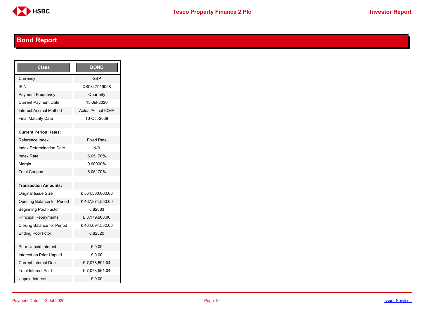

# <span id="page-9-0"></span>**Bond Report**

| Class                           | <b>BOND</b>               |
|---------------------------------|---------------------------|
| Currency                        | <b>GBP</b>                |
| ISIN                            | XS0347919028              |
| <b>Payment Frequency</b>        | Quarterly                 |
| <b>Current Payment Date</b>     | 13-Jul-2020               |
| <b>Interest Accrual Method</b>  | <b>Actual/Actual ICMA</b> |
| <b>Final Maturity Date</b>      | 13-Oct-2039               |
|                                 |                           |
| <b>Current Period Rates:</b>    |                           |
| Reference Index                 | <b>Fixed Rate</b>         |
| <b>Index Determination Date</b> | N/A                       |
| <b>Index Rate</b>               | 6.05170%                  |
| Margin                          | 0.00000%                  |
| <b>Total Coupon</b>             | 6.05170%                  |
|                                 |                           |
| <b>Transaction Amounts:</b>     |                           |
| Original Issue Size             | £564,500,000.00           |
| Opening Balance for Period      | £467,874,550.00           |
| <b>Beginning Pool Factor</b>    | 0.82883                   |
| <b>Principal Repayments</b>     | £3,179,968.00             |
| Closing Balance for Period      | £464,694,582.00           |
| <b>Ending Pool Fctor</b>        | 0.82320                   |
|                                 |                           |
| <b>Prior Unpaid Interest</b>    | £ 0.00                    |
| Interest on Prior Unpaid        | £ 0.00                    |
| <b>Current Interest Due</b>     | £7,078,591.04             |
| <b>Total Interest Paid</b>      | £7,078,591.04             |
| <b>Unpaid Interest</b>          | £0.00                     |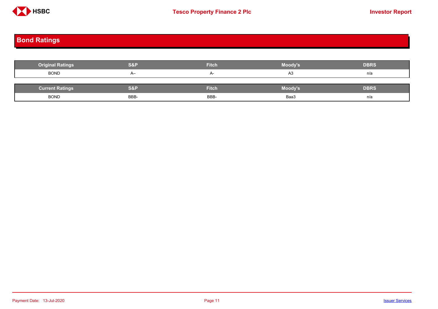

# <span id="page-10-0"></span>**Bond Ratings**

| <b>Original Ratings</b> | <b>S&amp;P</b> | <b>Fitch</b> | Moody's | <b>DBRS</b> |
|-------------------------|----------------|--------------|---------|-------------|
| <b>BOND</b>             | $A-$           | $A-$         | A3      | n/a         |
|                         |                |              |         |             |
| <b>Current Ratings</b>  | S&P            | <b>Fitch</b> | Moody's | <b>DBRS</b> |
| <b>BOND</b>             | BBB-           | BBB-         | Baa3    | n/a         |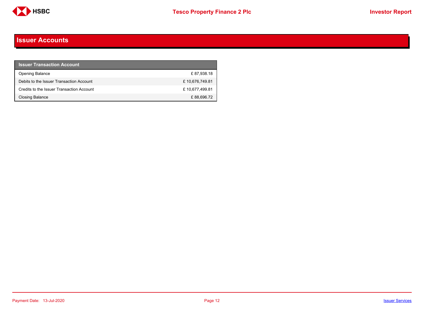

#### <span id="page-11-0"></span>**Issuer Accounts**

| <b>Issuer Transaction Account</b>         |                |
|-------------------------------------------|----------------|
| <b>Opening Balance</b>                    | £87,938.18     |
| Debits to the Issuer Transaction Account  | £10,676,749.81 |
| Credits to the Issuer Transaction Account | £10,677,499.81 |
| Closing Balance                           | £88,696.72     |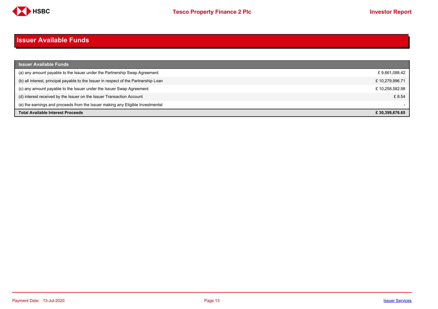

#### <span id="page-12-0"></span>**Issuer Available Funds**

| <b>Issuer Available Funds</b>                                                        |                |
|--------------------------------------------------------------------------------------|----------------|
| (a) any amount payable to the Issuer under the Partnership Swap Agreement            | £9,861,088.42  |
| (b) all interest, principal payable to the Issuer in respect of the Partnership Loan | £10,279,996.71 |
| (c) any amount payable to the Issuer under the Issuer Swap Agreement                 | £10,258,582.98 |
| (d) interest received by the Issuer on the Issuer Transaction Account                | £ 8.54         |
| (e) the earnings and proceeds from the Issuer making any Eligible Investmentst       |                |
| <b>Total Available Interest Proceeds</b>                                             | £30.399.676.65 |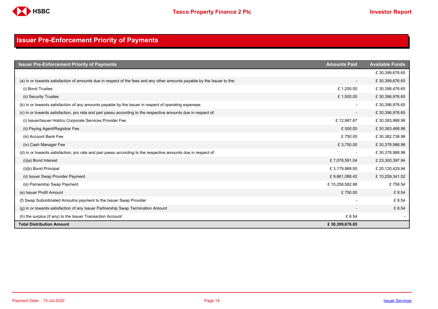

## <span id="page-13-0"></span>**Issuer Pre-Enforcement Priority of Payments**

| <b>Issuer Pre-Enforcement Priority of Payments</b>                                                                       | <b>Amounts Paid</b>      | <b>Available Funds</b> |
|--------------------------------------------------------------------------------------------------------------------------|--------------------------|------------------------|
|                                                                                                                          |                          | £30,399,676.65         |
| (a) in or towards satisfaction of amounts due in respect of the fees and any other amounts payable by the Issuer to the: | $\overline{\phantom{a}}$ | £30,399,676.65         |
| (i) Bond Trustee                                                                                                         | £1,200.00                | £30,398,476.65         |
| (ii) Security Trustee                                                                                                    | £1,500.00                | £30,396,976.65         |
| (b) in or towards satisfaction of any amounts payable by the Issuer in respect of operating expenses                     |                          | £30,396,976.65         |
| (c) in or towards satisfaction, pro rata and pari passu according to the respective amounts due in respect of:           |                          | £30,396,976.65         |
| (i) Issuer/Issuer Holdco Corporate Services Provider Fee                                                                 | £12,987.67               | £30,383,988.98         |
| (ii) Paying Agent/Registrar Fee                                                                                          | £500.00                  | £30,383,488.98         |
| (iii) Account Bank Fee                                                                                                   | £750.00                  | £30,382,738.98         |
| (iv) Cash Manager Fee                                                                                                    | £3,750.00                | £30,378,988.98         |
| (d) in or towards satisfaction, pro rata and pari passu according to the respective amounts due in respect of:           |                          | £30,378,988.98         |
| $(i)(a)$ Bond Interest                                                                                                   | £7,078,591.04            | £ 23,300,397.94        |
| (i)(b) Bond Principal                                                                                                    | £3,179,968.00            | £ 20,120,429.94        |
| (ii) Issuer Swap Provider Payment                                                                                        | £9,861,088.42            | £10,259,341.52         |
| (iii) Parnership Swap Payment                                                                                            | £10,258,582.98           | £758.54                |
| (e) Issuer Profit Amount                                                                                                 | £750.00                  | £ 8.54                 |
| (f) Swap Subordinated Amoutns payment to the Issuer Swap Provider                                                        |                          | £ 8.54                 |
| (g) in or towards satisfaction of any Issuer Partnership Swap Termination Amount                                         |                          | £ 8.54                 |
| (h) the surplus (if any) to the Issuer Transaction Account                                                               | £ 8.54                   |                        |
| <b>Total Distribution Amount</b>                                                                                         | £30,399,676.65           |                        |